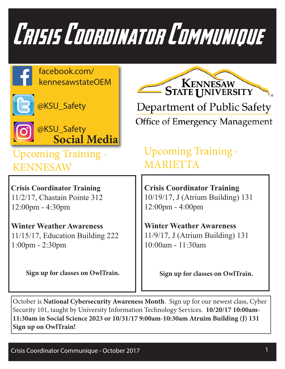

facebook.com/ kennesawstateOEM



@KSU\_Safety



**Social Media** @KSU\_Safety

Upcoming Training - KENNESAW

**Crisis Coordinator Training** 11/2/17, Chastain Pointe 312 12:00pm - 4:30pm

 **Winter Weather Awareness** 11/15/17, Education Building 222 1:00pm - 2:30pm

**Sign up for classes on OwlTrain.**

**STATE UNIVERSITY** Department of Public Safety Office of Emergency Management

Upcoming Training - MARIETTA

**Crisis Coordinator Training** 10/19/17, J (Atrium Building) 131 12:00pm - 4:00pm

**Winter Weather Awareness** 11/9/17, J (Atrium Building) 131 10:00am - 11:30am

**Sign up for classes on OwlTrain.**

October is **National Cybersecurity Awareness Month**. Sign up for our newest class, Cyber Security 101, taught by University Information Technology Services. **10/20/17 10:00am-11:30am in Social Science 2023 or 10/31/17 9:00am-10:30am Atruim Building (J) 131 Sign up on OwlTrain!**

Crisis Coordinator Communique - October 2017 1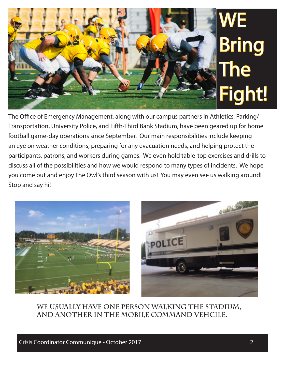## WE Bring **The** Fight!

The Office of Emergency Management, along with our campus partners in Athletics, Parking/ Transportation, University Police, and Fifth-Third Bank Stadium, have been geared up for home football game-day operations since September. Our main responsibilities include keeping an eye on weather conditions, preparing for any evacuation needs, and helping protect the participants, patrons, and workers during games. We even hold table-top exercises and drills to discuss all of the possibilities and how we would respond to many types of incidents. We hope you come out and enjoy The Owl's third season with us! You may even see us walking around! Stop and say hi!





**We usually have one person walking the Stadium, and another in the Mobile Command Vehcile.**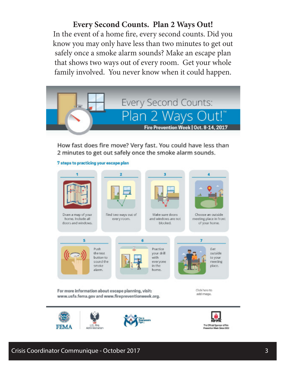**Every Second Counts. Plan 2 Ways Out!** In the event of a home fire, every second counts. Did you know you may only have less than two minutes to get out safely once a smoke alarm sounds? Make an escape plan that shows two ways out of every room. Get your whole family involved. You never know when it could happen.



How fast does fire move? Very fast. You could have less than 2 minutes to get out safely once the smoke alarm sounds.





Draw a map of your home. Include all doors and windows.



Find two ways out of every room.



Make sure doors and windows are not blocked.



Choose an outside meeting place in front of your home.



Practice your drill with everyone in the home.

k



For more information about escape planning, visit: www.usfa.fema.gov and www.firepreventionweek.org. Click here to add Image.



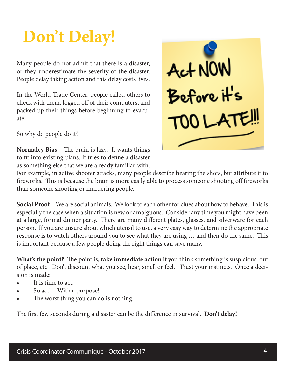## **Don't Delay!**

Many people do not admit that there is a disaster, or they underestimate the severity of the disaster. People delay taking action and this delay costs lives.

In the World Trade Center, people called others to check with them, logged off of their computers, and packed up their things before beginning to evacuate.

So why do people do it?

**Normalcy Bias** – The brain is lazy. It wants things to fit into existing plans. It tries to define a disaster as something else that we are already familiar with.

For example, in active shooter attacks, many people describe hearing the shots, but attribute it to fireworks. This is because the brain is more easily able to process someone shooting off fireworks than someone shooting or murdering people.

**Social Proof** – We are social animals. We look to each other for clues about how to behave. This is especially the case when a situation is new or ambiguous. Consider any time you might have been at a large, formal dinner party. There are many different plates, glasses, and silverware for each person. If you are unsure about which utensil to use, a very easy way to determine the appropriate response is to watch others around you to see what they are using … and then do the same. This is important because a few people doing the right things can save many.

**What's the point?** The point is, **take immediate action** if you think something is suspicious, out of place, etc. Don't discount what you see, hear, smell or feel. Trust your instincts. Once a decision is made:

- It is time to act.
- So act! With a purpose!
- The worst thing you can do is nothing.

The first few seconds during a disaster can be the difference in survival. **Don't delay!**

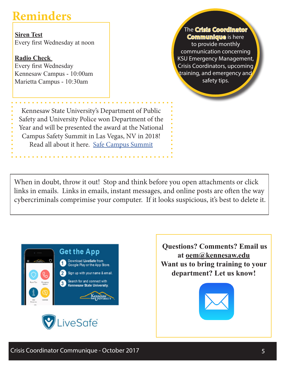## **Reminders**

**Siren Test** Every first Wednesday at noon

**Radio Check**  Every first Wednesday Kennesaw Campus - 10:00am Marietta Campus - 10:30am

**The Crisis Coordinator Communique** is here to provide monthly communication concerning KSU Emergency Management, Crisis Coordinators, upcoming training, and emergency and safety tips.

Kennesaw State University's Department of Public Safety and University Police won Department of the Year and will be presented the award at the National Campus Safety Summit in Las Vegas, NV in 2018! Read all about it here. Safe Campus Summit

When in doubt, throw it out! Stop and think before you open attachments or click links in emails. Links in emails, instant messages, and online posts are often the way cybercriminals comprimise your computer. If it looks suspicious, it's best to delete it.





 **Questions? Comments? Email us at oem@kennesaw.edu Want us to bring training to your department? Let us know!**